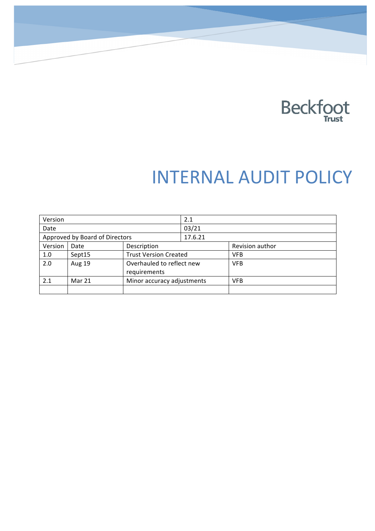

# **INTERNAL AUDIT POLICY**

| Version                        |               |                              | 2.1     |                 |
|--------------------------------|---------------|------------------------------|---------|-----------------|
| Date                           |               |                              | 03/21   |                 |
| Approved by Board of Directors |               |                              | 17.6.21 |                 |
| Version                        | Date          | Description                  |         | Revision author |
| 1.0                            | Sept15        | <b>Trust Version Created</b> |         | <b>VFB</b>      |
| 2.0                            | <b>Aug 19</b> | Overhauled to reflect new    |         | <b>VFB</b>      |
|                                |               | requirements                 |         |                 |
| 2.1                            | Mar 21        | Minor accuracy adjustments   |         | <b>VFB</b>      |
|                                |               |                              |         |                 |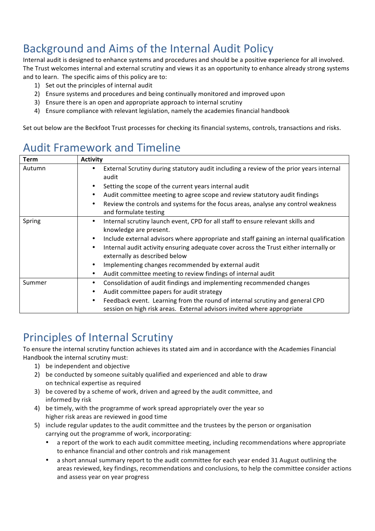## Background and Aims of the Internal Audit Policy

Internal audit is designed to enhance systems and procedures and should be a positive experience for all involved. The Trust welcomes internal and external scrutiny and views it as an opportunity to enhance already strong systems and to learn. The specific aims of this policy are to:

- 1) Set out the principles of internal audit
- 2) Ensure systems and procedures and being continually monitored and improved upon
- 3) Ensure there is an open and appropriate approach to internal scrutiny
- 4) Ensure compliance with relevant legislation, namely the academies financial handbook

Set out below are the Beckfoot Trust processes for checking its financial systems, controls, transactions and risks.

| Term   | <b>Activity</b>                                                                                                                                                                                                                                                                                                                                                                                                                                                                     |
|--------|-------------------------------------------------------------------------------------------------------------------------------------------------------------------------------------------------------------------------------------------------------------------------------------------------------------------------------------------------------------------------------------------------------------------------------------------------------------------------------------|
| Autumn | External Scrutiny during statutory audit including a review of the prior years internal<br>audit<br>Setting the scope of the current years internal audit<br>Audit committee meeting to agree scope and review statutory audit findings<br>Review the controls and systems for the focus areas, analyse any control weakness<br>$\bullet$<br>and formulate testing                                                                                                                  |
| Spring | Internal scrutiny launch event, CPD for all staff to ensure relevant skills and<br>٠<br>knowledge are present.<br>Include external advisors where appropriate and staff gaining an internal qualification<br>$\bullet$<br>Internal audit activity ensuring adequate cover across the Trust either internally or<br>$\bullet$<br>externally as described below<br>Implementing changes recommended by external audit<br>Audit committee meeting to review findings of internal audit |
| Summer | Consolidation of audit findings and implementing recommended changes<br>٠<br>Audit committee papers for audit strategy<br>Feedback event. Learning from the round of internal scrutiny and general CPD<br>$\bullet$<br>session on high risk areas. External advisors invited where appropriate                                                                                                                                                                                      |

#### **Audit Framework and Timeline**

### Principles of Internal Scrutiny

To ensure the internal scrutiny function achieves its stated aim and in accordance with the Academies Financial Handbook the internal scrutiny must:

- 1) be independent and objective
- 2) be conducted by someone suitably qualified and experienced and able to draw on technical expertise as required
- 3) be covered by a scheme of work, driven and agreed by the audit committee, and informed by risk
- 4) be timely, with the programme of work spread appropriately over the year so higher risk areas are reviewed in good time
- 5) include regular updates to the audit committee and the trustees by the person or organisation carrying out the programme of work, incorporating:
	- a report of the work to each audit committee meeting, including recommendations where appropriate to enhance financial and other controls and risk management
	- a short annual summary report to the audit committee for each year ended 31 August outlining the areas reviewed, key findings, recommendations and conclusions, to help the committee consider actions and assess year on year progress